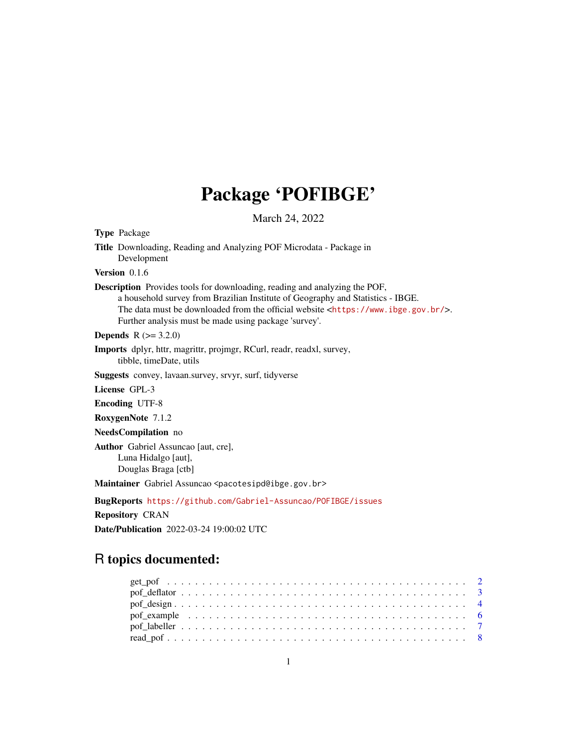# Package 'POFIBGE'

March 24, 2022

Type Package

Title Downloading, Reading and Analyzing POF Microdata - Package in Development

Version 0.1.6

Description Provides tools for downloading, reading and analyzing the POF, a household survey from Brazilian Institute of Geography and Statistics - IBGE. The data must be downloaded from the official website <<https://www.ibge.gov.br/>>. Further analysis must be made using package 'survey'.

**Depends**  $R (= 3.2.0)$ 

Imports dplyr, httr, magrittr, projmgr, RCurl, readr, readxl, survey, tibble, timeDate, utils

Suggests convey, lavaan.survey, srvyr, surf, tidyverse

License GPL-3

Encoding UTF-8

RoxygenNote 7.1.2

NeedsCompilation no

Author Gabriel Assuncao [aut, cre], Luna Hidalgo [aut], Douglas Braga [ctb]

Maintainer Gabriel Assuncao <pacotesipd@ibge.gov.br>

BugReports <https://github.com/Gabriel-Assuncao/POFIBGE/issues>

Repository CRAN

Date/Publication 2022-03-24 19:00:02 UTC

# R topics documented:

| pof_example $\dots \dots \dots \dots \dots \dots \dots \dots \dots \dots \dots \dots \dots \dots \dots \dots \dots$ |  |  |  |  |  |  |  |  |  |  |  |  |  |  |  |  |  |  |  |  |  |
|---------------------------------------------------------------------------------------------------------------------|--|--|--|--|--|--|--|--|--|--|--|--|--|--|--|--|--|--|--|--|--|
|                                                                                                                     |  |  |  |  |  |  |  |  |  |  |  |  |  |  |  |  |  |  |  |  |  |
|                                                                                                                     |  |  |  |  |  |  |  |  |  |  |  |  |  |  |  |  |  |  |  |  |  |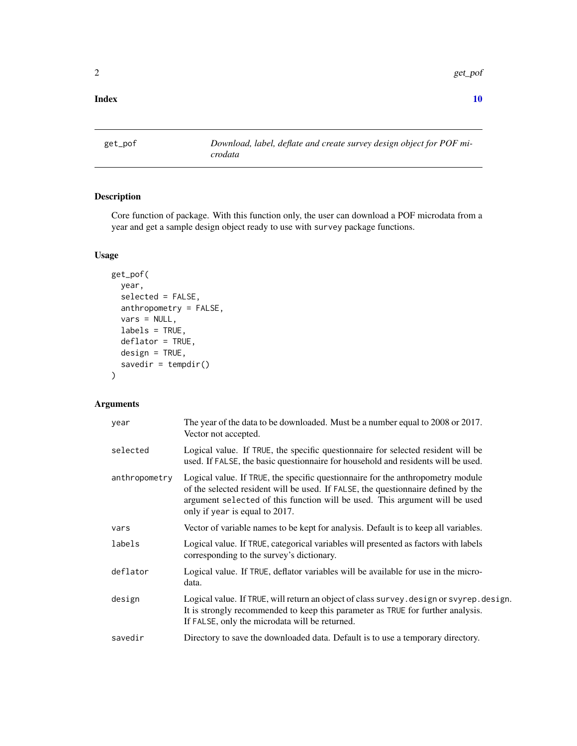<span id="page-1-0"></span>2 get\_pof

#### $\blacksquare$

<span id="page-1-1"></span>get\_pof *Download, label, deflate and create survey design object for POF microdata*

## Description

Core function of package. With this function only, the user can download a POF microdata from a year and get a sample design object ready to use with survey package functions.

#### Usage

```
get_pof(
 year,
  selected = FALSE,
  anthropometry = FALSE,
 vars = NULL,labels = TRUE,
  deflator = TRUE,
 design = TRUE,
  savedir = tempdir())
```
# Arguments

| year          | The year of the data to be downloaded. Must be a number equal to 2008 or 2017.<br>Vector not accepted.                                                                                                                                                                                |
|---------------|---------------------------------------------------------------------------------------------------------------------------------------------------------------------------------------------------------------------------------------------------------------------------------------|
| selected      | Logical value. If TRUE, the specific questionnaire for selected resident will be<br>used. If FALSE, the basic questionnaire for household and residents will be used.                                                                                                                 |
| anthropometry | Logical value. If TRUE, the specific questionnaire for the anthropometry module<br>of the selected resident will be used. If FALSE, the questionnaire defined by the<br>argument selected of this function will be used. This argument will be used<br>only if year is equal to 2017. |
| vars          | Vector of variable names to be kept for analysis. Default is to keep all variables.                                                                                                                                                                                                   |
| labels        | Logical value. If TRUE, categorical variables will presented as factors with labels<br>corresponding to the survey's dictionary.                                                                                                                                                      |
| deflator      | Logical value. If TRUE, deflator variables will be available for use in the micro-<br>data.                                                                                                                                                                                           |
| design        | Logical value. If TRUE, will return an object of class survey. design or svyrep. design.<br>It is strongly recommended to keep this parameter as TRUE for further analysis.<br>If FALSE, only the microdata will be returned.                                                         |
| savedir       | Directory to save the downloaded data. Default is to use a temporary directory.                                                                                                                                                                                                       |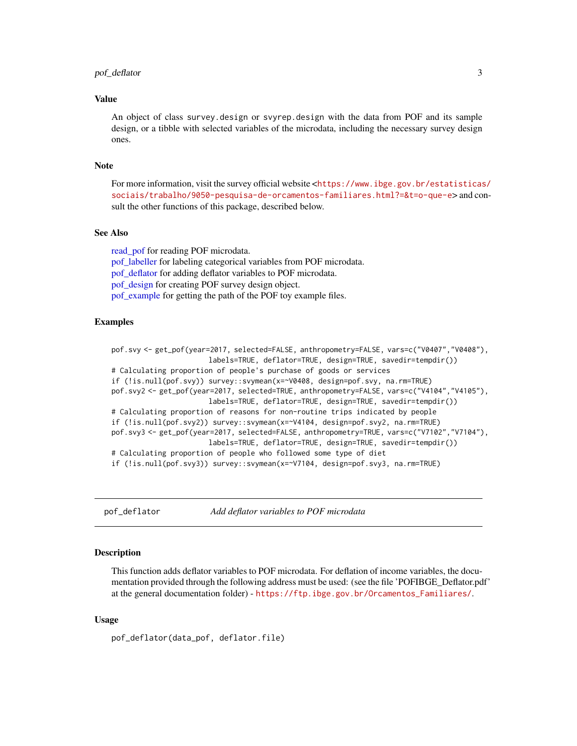#### <span id="page-2-0"></span>pof\_deflator 3

#### Value

An object of class survey.design or svyrep.design with the data from POF and its sample design, or a tibble with selected variables of the microdata, including the necessary survey design ones.

#### Note

For more information, visit the survey official website <[https://www.ibge.gov.br/estatisticas](https://www.ibge.gov.br/estatisticas/sociais/trabalho/9050-pesquisa-de-orcamentos-familiares.html?=&t=o-que-e)/ [sociais/trabalho/9050-pesquisa-de-orcamentos-familiares.html?=&t=o-que-e](https://www.ibge.gov.br/estatisticas/sociais/trabalho/9050-pesquisa-de-orcamentos-familiares.html?=&t=o-que-e)> and consult the other functions of this package, described below.

#### See Also

[read\\_pof](#page-7-1) for reading POF microdata. [pof\\_labeller](#page-6-1) for labeling categorical variables from POF microdata. pof deflator for adding deflator variables to POF microdata. [pof\\_design](#page-3-1) for creating POF survey design object. [pof\\_example](#page-5-1) for getting the path of the POF toy example files.

#### Examples

```
pof.svy <- get_pof(year=2017, selected=FALSE, anthropometry=FALSE, vars=c("V0407","V0408"),
                       labels=TRUE, deflator=TRUE, design=TRUE, savedir=tempdir())
# Calculating proportion of people's purchase of goods or services
if (!is.null(pof.svy)) survey::svymean(x=~V0408, design=pof.svy, na.rm=TRUE)
pof.svy2 <- get_pof(year=2017, selected=TRUE, anthropometry=FALSE, vars=c("V4104","V4105"),
                       labels=TRUE, deflator=TRUE, design=TRUE, savedir=tempdir())
# Calculating proportion of reasons for non-routine trips indicated by people
if (!is.null(pof.svy2)) survey::svymean(x=~V4104, design=pof.svy2, na.rm=TRUE)
pof.svy3 <- get_pof(year=2017, selected=FALSE, anthropometry=TRUE, vars=c("V7102","V7104"),
                       labels=TRUE, deflator=TRUE, design=TRUE, savedir=tempdir())
# Calculating proportion of people who followed some type of diet
if (!is.null(pof.svy3)) survey::svymean(x=~V7104, design=pof.svy3, na.rm=TRUE)
```
<span id="page-2-1"></span>pof\_deflator *Add deflator variables to POF microdata*

#### Description

This function adds deflator variables to POF microdata. For deflation of income variables, the documentation provided through the following address must be used: (see the file 'POFIBGE\_Deflator.pdf' at the general documentation folder) - [https://ftp.ibge.gov.br/Orcamentos\\_Familiares/](https://ftp.ibge.gov.br/Orcamentos_Familiares/).

#### Usage

pof\_deflator(data\_pof, deflator.file)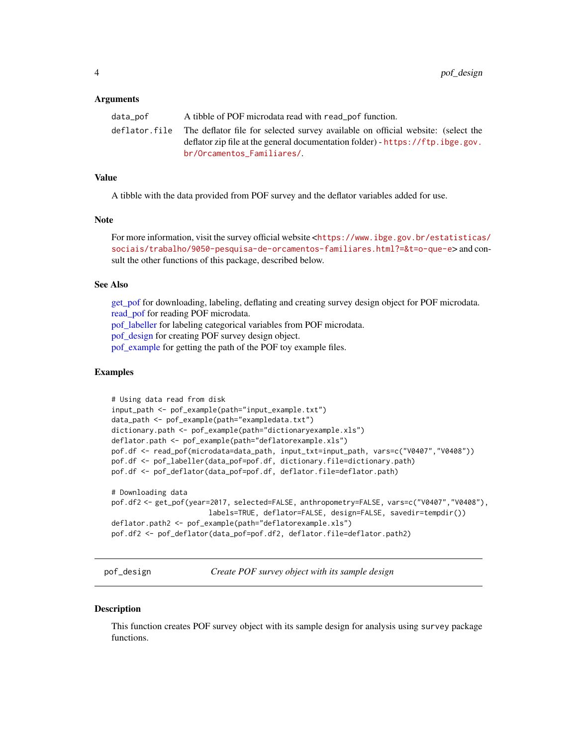#### <span id="page-3-0"></span>Arguments

| data_pof | A tibble of POF microdata read with read pof function.                                         |
|----------|------------------------------------------------------------------------------------------------|
|          | deflator file The deflator file for selected survey available on official website: (select the |
|          | deflator zip file at the general documentation folder) - $https://ftp.ibge.gov.$               |
|          | br/Orcamentos Familiares/                                                                      |

#### Value

A tibble with the data provided from POF survey and the deflator variables added for use.

#### **Note**

For more information, visit the survey official website <[https://www.ibge.gov.br/estatisticas](https://www.ibge.gov.br/estatisticas/sociais/trabalho/9050-pesquisa-de-orcamentos-familiares.html?=&t=o-que-e)/ [sociais/trabalho/9050-pesquisa-de-orcamentos-familiares.html?=&t=o-que-e](https://www.ibge.gov.br/estatisticas/sociais/trabalho/9050-pesquisa-de-orcamentos-familiares.html?=&t=o-que-e)> and consult the other functions of this package, described below.

#### See Also

[get\\_pof](#page-1-1) for downloading, labeling, deflating and creating survey design object for POF microdata. [read\\_pof](#page-7-1) for reading POF microdata. [pof\\_labeller](#page-6-1) for labeling categorical variables from POF microdata. [pof\\_design](#page-3-1) for creating POF survey design object. [pof\\_example](#page-5-1) for getting the path of the POF toy example files.

#### Examples

```
# Using data read from disk
input_path <- pof_example(path="input_example.txt")
data_path <- pof_example(path="exampledata.txt")
dictionary.path <- pof_example(path="dictionaryexample.xls")
deflator.path <- pof_example(path="deflatorexample.xls")
pof.df <- read_pof(microdata=data_path, input_txt=input_path, vars=c("V0407","V0408"))
pof.df <- pof_labeller(data_pof=pof.df, dictionary.file=dictionary.path)
pof.df <- pof_deflator(data_pof=pof.df, deflator.file=deflator.path)
# Downloading data
pof.df2 <- get_pof(year=2017, selected=FALSE, anthropometry=FALSE, vars=c("V0407","V0408"),
                       labels=TRUE, deflator=FALSE, design=FALSE, savedir=tempdir())
deflator.path2 <- pof_example(path="deflatorexample.xls")
pof.df2 <- pof_deflator(data_pof=pof.df2, deflator.file=deflator.path2)
```
<span id="page-3-1"></span>pof\_design *Create POF survey object with its sample design*

#### **Description**

This function creates POF survey object with its sample design for analysis using survey package functions.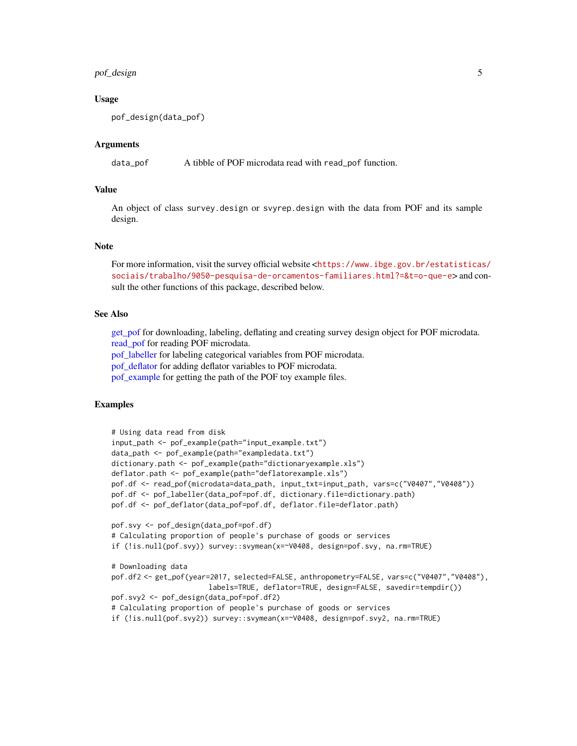#### <span id="page-4-0"></span>pof\_design 5

#### Usage

pof\_design(data\_pof)

#### Arguments

data\_pof A tibble of POF microdata read with read\_pof function.

#### Value

An object of class survey.design or svyrep.design with the data from POF and its sample design.

#### **Note**

For more information, visit the survey official website <[https://www.ibge.gov.br/estatisticas](https://www.ibge.gov.br/estatisticas/sociais/trabalho/9050-pesquisa-de-orcamentos-familiares.html?=&t=o-que-e)/ [sociais/trabalho/9050-pesquisa-de-orcamentos-familiares.html?=&t=o-que-e](https://www.ibge.gov.br/estatisticas/sociais/trabalho/9050-pesquisa-de-orcamentos-familiares.html?=&t=o-que-e)> and consult the other functions of this package, described below.

#### See Also

[get\\_pof](#page-1-1) for downloading, labeling, deflating and creating survey design object for POF microdata. [read\\_pof](#page-7-1) for reading POF microdata.

[pof\\_labeller](#page-6-1) for labeling categorical variables from POF microdata.

[pof\\_deflator](#page-2-1) for adding deflator variables to POF microdata.

[pof\\_example](#page-5-1) for getting the path of the POF toy example files.

```
# Using data read from disk
input_path <- pof_example(path="input_example.txt")
data_path <- pof_example(path="exampledata.txt")
dictionary.path <- pof_example(path="dictionaryexample.xls")
deflator.path <- pof_example(path="deflatorexample.xls")
pof.df <- read_pof(microdata=data_path, input_txt=input_path, vars=c("V0407","V0408"))
pof.df <- pof_labeller(data_pof=pof.df, dictionary.file=dictionary.path)
pof.df <- pof_deflator(data_pof=pof.df, deflator.file=deflator.path)
pof.svy <- pof_design(data_pof=pof.df)
# Calculating proportion of people's purchase of goods or services
if (!is.null(pof.svy)) survey::svymean(x=~V0408, design=pof.svy, na.rm=TRUE)
# Downloading data
pof.df2 <- get_pof(year=2017, selected=FALSE, anthropometry=FALSE, vars=c("V0407","V0408"),
                       labels=TRUE, deflator=TRUE, design=FALSE, savedir=tempdir())
pof.svy2 <- pof_design(data_pof=pof.df2)
# Calculating proportion of people's purchase of goods or services
if (!is.null(pof.svy2)) survey::svymean(x=~V0408, design=pof.svy2, na.rm=TRUE)
```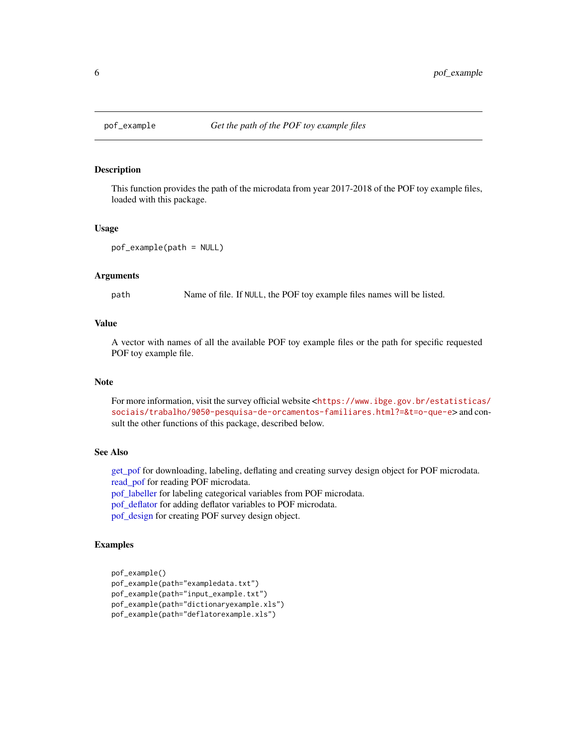<span id="page-5-1"></span><span id="page-5-0"></span>

#### Description

This function provides the path of the microdata from year 2017-2018 of the POF toy example files, loaded with this package.

#### Usage

```
pof_example(path = NULL)
```
#### Arguments

path Name of file. If NULL, the POF toy example files names will be listed.

#### Value

A vector with names of all the available POF toy example files or the path for specific requested POF toy example file.

#### Note

For more information, visit the survey official website <[https://www.ibge.gov.br/estatisticas](https://www.ibge.gov.br/estatisticas/sociais/trabalho/9050-pesquisa-de-orcamentos-familiares.html?=&t=o-que-e)/ [sociais/trabalho/9050-pesquisa-de-orcamentos-familiares.html?=&t=o-que-e](https://www.ibge.gov.br/estatisticas/sociais/trabalho/9050-pesquisa-de-orcamentos-familiares.html?=&t=o-que-e)> and consult the other functions of this package, described below.

#### See Also

[get\\_pof](#page-1-1) for downloading, labeling, deflating and creating survey design object for POF microdata. [read\\_pof](#page-7-1) for reading POF microdata.

[pof\\_labeller](#page-6-1) for labeling categorical variables from POF microdata.

[pof\\_deflator](#page-2-1) for adding deflator variables to POF microdata.

[pof\\_design](#page-3-1) for creating POF survey design object.

```
pof_example()
pof_example(path="exampledata.txt")
pof_example(path="input_example.txt")
pof_example(path="dictionaryexample.xls")
pof_example(path="deflatorexample.xls")
```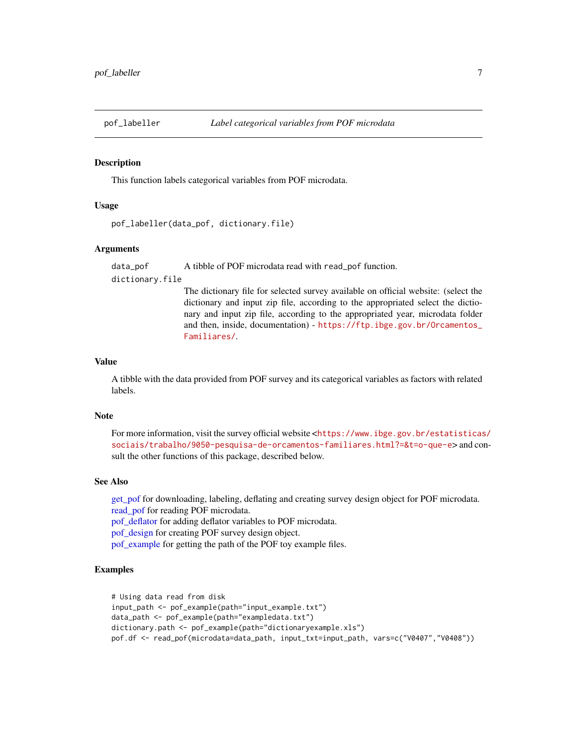<span id="page-6-1"></span><span id="page-6-0"></span>

#### **Description**

This function labels categorical variables from POF microdata.

#### Usage

```
pof_labeller(data_pof, dictionary.file)
```
#### Arguments

data\_pof A tibble of POF microdata read with read\_pof function.

dictionary.file

The dictionary file for selected survey available on official website: (select the dictionary and input zip file, according to the appropriated select the dictionary and input zip file, according to the appropriated year, microdata folder and then, inside, documentation) - [https://ftp.ibge.gov.br/Orcamentos\\_](https://ftp.ibge.gov.br/Orcamentos_Familiares/) [Familiares/](https://ftp.ibge.gov.br/Orcamentos_Familiares/).

#### Value

A tibble with the data provided from POF survey and its categorical variables as factors with related labels.

#### Note

For more information, visit the survey official website <[https://www.ibge.gov.br/estatisticas](https://www.ibge.gov.br/estatisticas/sociais/trabalho/9050-pesquisa-de-orcamentos-familiares.html?=&t=o-que-e)/ [sociais/trabalho/9050-pesquisa-de-orcamentos-familiares.html?=&t=o-que-e](https://www.ibge.gov.br/estatisticas/sociais/trabalho/9050-pesquisa-de-orcamentos-familiares.html?=&t=o-que-e)> and consult the other functions of this package, described below.

#### See Also

get pof for downloading, labeling, deflating and creating survey design object for POF microdata. [read\\_pof](#page-7-1) for reading POF microdata. [pof\\_deflator](#page-2-1) for adding deflator variables to POF microdata. [pof\\_design](#page-3-1) for creating POF survey design object.

[pof\\_example](#page-5-1) for getting the path of the POF toy example files.

```
# Using data read from disk
input_path <- pof_example(path="input_example.txt")
data_path <- pof_example(path="exampledata.txt")
dictionary.path <- pof_example(path="dictionaryexample.xls")
pof.df <- read_pof(microdata=data_path, input_txt=input_path, vars=c("V0407","V0408"))
```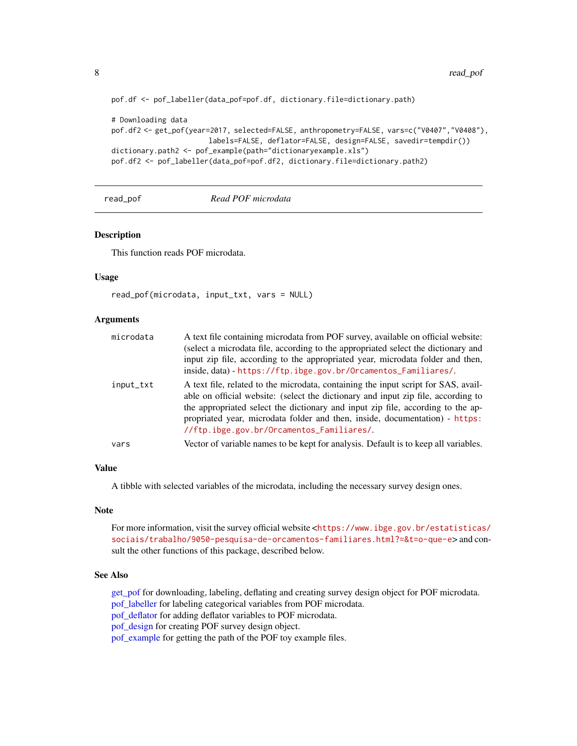```
pof.df <- pof_labeller(data_pof=pof.df, dictionary.file=dictionary.path)
# Downloading data
pof.df2 <- get_pof(year=2017, selected=FALSE, anthropometry=FALSE, vars=c("V0407","V0408"),
                       labels=FALSE, deflator=FALSE, design=FALSE, savedir=tempdir())
dictionary.path2 <- pof_example(path="dictionaryexample.xls")
pof.df2 <- pof_labeller(data_pof=pof.df2, dictionary.file=dictionary.path2)
```
read\_pof *Read POF microdata*

#### **Description**

This function reads POF microdata.

#### Usage

```
read_pof(microdata, input_txt, vars = NULL)
```
#### Arguments

| microdata | A text file containing microdata from POF survey, available on official website:<br>(select a microdata file, according to the appropriated select the dictionary and<br>input zip file, according to the appropriated year, microdata folder and then,<br>inside, data) - https://ftp.ibge.gov.br/Orcamentos_Familiares/.                                                             |
|-----------|----------------------------------------------------------------------------------------------------------------------------------------------------------------------------------------------------------------------------------------------------------------------------------------------------------------------------------------------------------------------------------------|
| input_txt | A text file, related to the microdata, containing the input script for SAS, avail-<br>able on official website: (select the dictionary and input zip file, according to<br>the appropriated select the dictionary and input zip file, according to the ap-<br>propriated year, microdata folder and then, inside, documentation) - https:<br>//ftp.ibge.gov.br/Orcamentos_Familiares/. |
| vars      | Vector of variable names to be kept for analysis. Default is to keep all variables.                                                                                                                                                                                                                                                                                                    |

#### Value

A tibble with selected variables of the microdata, including the necessary survey design ones.

#### Note

For more information, visit the survey official website <[https://www.ibge.gov.br/estatisticas](https://www.ibge.gov.br/estatisticas/sociais/trabalho/9050-pesquisa-de-orcamentos-familiares.html?=&t=o-que-e)/ [sociais/trabalho/9050-pesquisa-de-orcamentos-familiares.html?=&t=o-que-e](https://www.ibge.gov.br/estatisticas/sociais/trabalho/9050-pesquisa-de-orcamentos-familiares.html?=&t=o-que-e)> and consult the other functions of this package, described below.

#### See Also

[get\\_pof](#page-1-1) for downloading, labeling, deflating and creating survey design object for POF microdata. [pof\\_labeller](#page-6-1) for labeling categorical variables from POF microdata. [pof\\_deflator](#page-2-1) for adding deflator variables to POF microdata. [pof\\_design](#page-3-1) for creating POF survey design object. [pof\\_example](#page-5-1) for getting the path of the POF toy example files.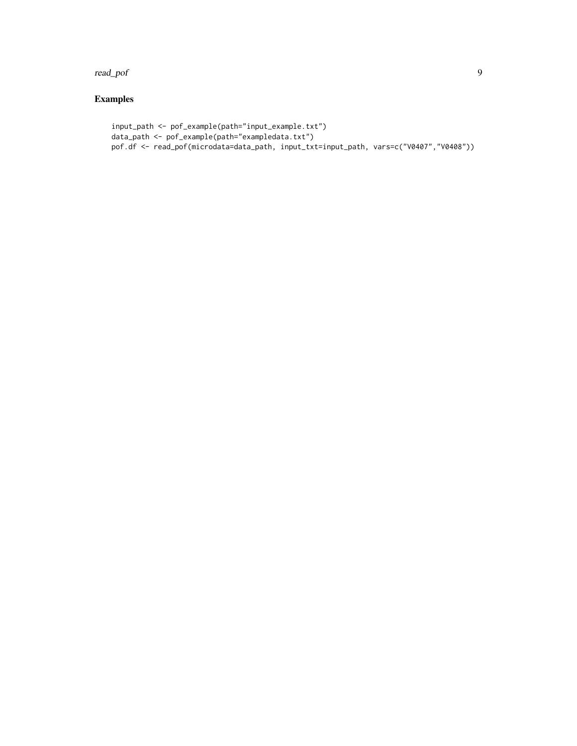read\_pof 99

```
input_path <- pof_example(path="input_example.txt")
data_path <- pof_example(path="exampledata.txt")
pof.df <- read_pof(microdata=data_path, input_txt=input_path, vars=c("V0407","V0408"))
```